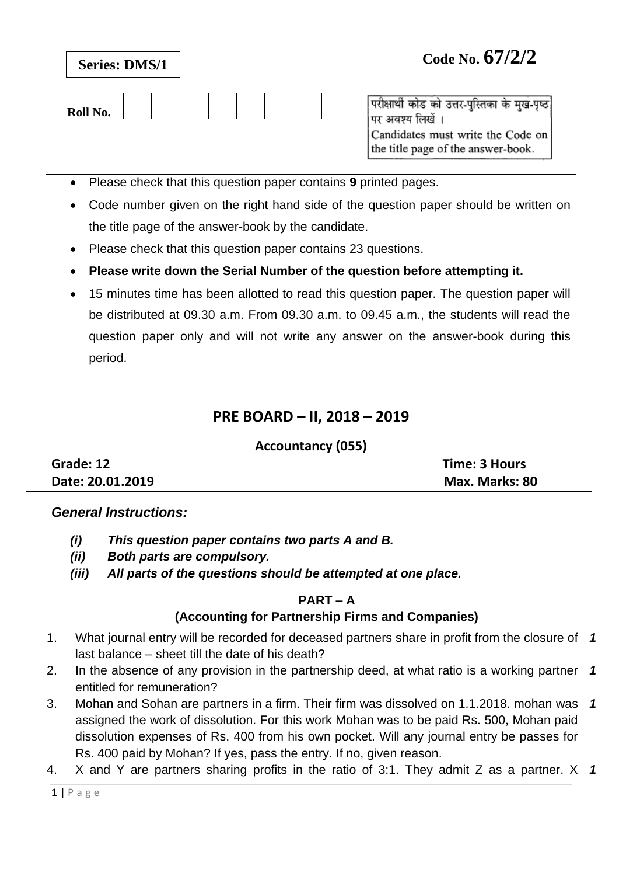| Roll No. |
|----------|
|----------|

परीक्षार्थी कोड को उत्तर-पुस्तिका के मुख-पृष्ठ पर अवश्य लिखें । Candidates must write the Code on the title page of the answer-book.

- Please check that this question paper contains **9** printed pages.
- Code number given on the right hand side of the question paper should be written on the title page of the answer-book by the candidate.
- Please check that this question paper contains 23 questions.
- **Please write down the Serial Number of the question before attempting it.**
- 15 minutes time has been allotted to read this question paper. The question paper will be distributed at 09.30 a.m. From 09.30 a.m. to 09.45 a.m., the students will read the question paper only and will not write any answer on the answer-book during this period.

# **PRE BOARD – II, 2018 – 2019**

### **Accountancy (055)**

| Grade: 12        | Time: 3 Hours  |
|------------------|----------------|
| Date: 20.01.2019 | Max. Marks: 80 |

### *General Instructions:*

- *(i) This question paper contains two parts A and B.*
- *(ii) Both parts are compulsory.*
- *(iii) All parts of the questions should be attempted at one place.*

### **PART – A**

## **(Accounting for Partnership Firms and Companies)**

- 1. What journal entry will be recorded for deceased partners share in profit from the closure of *1* last balance – sheet till the date of his death?
- 2. In the absence of any provision in the partnership deed, at what ratio is a working partner entitled for remuneration? *1*
- 3. Mohan and Sohan are partners in a firm. Their firm was dissolved on 1.1.2018. mohan was assigned the work of dissolution. For this work Mohan was to be paid Rs. 500, Mohan paid dissolution expenses of Rs. 400 from his own pocket. Will any journal entry be passes for Rs. 400 paid by Mohan? If yes, pass the entry. If no, given reason. *1*
- 4. X and Y are partners sharing profits in the ratio of 3:1. They admit Z as a partner. X *1*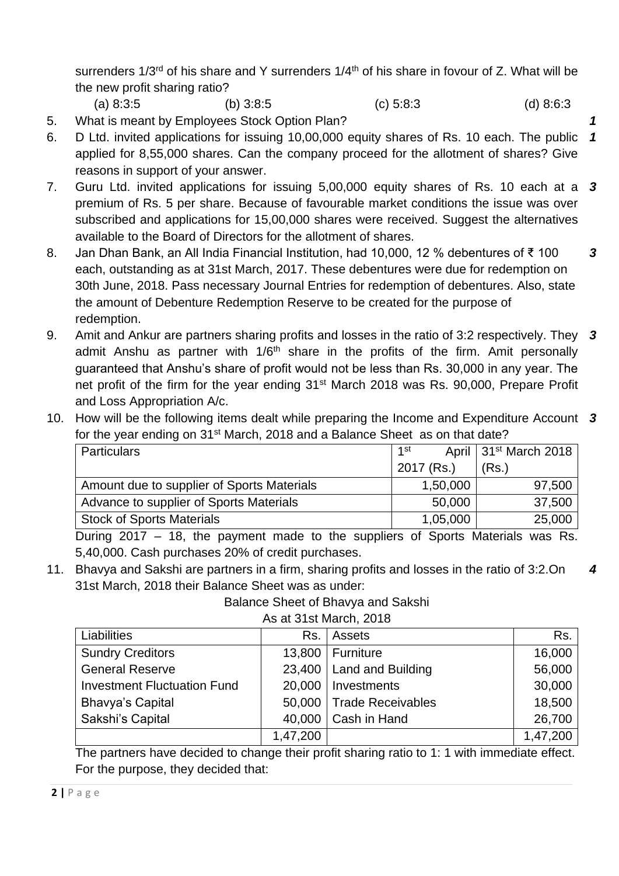surrenders  $1/3^{rd}$  of his share and Y surrenders  $1/4^{th}$  of his share in fovour of Z. What will be the new profit sharing ratio?

- (a) 8:3:5 (b) 3:8:5 (c) 5:8:3 (d) 8:6:3
- 5. What is meant by Employees Stock Option Plan? *1*
- 6. D Ltd. invited applications for issuing 10,00,000 equity shares of Rs. 10 each. The public applied for 8,55,000 shares. Can the company proceed for the allotment of shares? Give reasons in support of your answer. *1*
- 7. Guru Ltd. invited applications for issuing 5,00,000 equity shares of Rs. 10 each at a *3* premium of Rs. 5 per share. Because of favourable market conditions the issue was over subscribed and applications for 15,00,000 shares were received. Suggest the alternatives available to the Board of Directors for the allotment of shares.
- 8. Jan Dhan Bank, an All India Financial Institution, had 10,000, 12 % debentures of ₹ 100 each, outstanding as at 31st March, 2017. These debentures were due for redemption on 30th June, 2018. Pass necessary Journal Entries for redemption of debentures. Also, state the amount of Debenture Redemption Reserve to be created for the purpose of redemption. *3*
- 9. Amit and Ankur are partners sharing profits and losses in the ratio of 3:2 respectively. They *3* admit Anshu as partner with 1/6<sup>th</sup> share in the profits of the firm. Amit personally guaranteed that Anshu's share of profit would not be less than Rs. 30,000 in any year. The net profit of the firm for the year ending 31<sup>st</sup> March 2018 was Rs. 90,000, Prepare Profit and Loss Appropriation A/c.
- 10. How will be the following items dealt while preparing the Income and Expenditure Account *3* for the year ending on 31<sup>st</sup> March, 2018 and a Balance Sheet as on that date?

| <b>Particulars</b>                         | 1st        | April 31 <sup>st</sup> March 2018 |
|--------------------------------------------|------------|-----------------------------------|
|                                            | 2017 (Rs.) | (Rs.)                             |
| Amount due to supplier of Sports Materials | 1,50,000   | 97,500                            |
| Advance to supplier of Sports Materials    | 50,000     | 37,500                            |
| <b>Stock of Sports Materials</b>           | 1,05,000   | 25,000                            |
|                                            |            |                                   |

During 2017 – 18, the payment made to the suppliers of Sports Materials was Rs. 5,40,000. Cash purchases 20% of credit purchases.

11. Bhavya and Sakshi are partners in a firm, sharing profits and losses in the ratio of 3:2.On 31st March, 2018 their Balance Sheet was as under: *4*

Balance Sheet of Bhavya and Sakshi

| Liabilities                        | Rs.      | Assets                     | Rs.      |
|------------------------------------|----------|----------------------------|----------|
| <b>Sundry Creditors</b>            | 13,800   | Furniture                  | 16,000   |
| <b>General Reserve</b>             |          | 23,400   Land and Building | 56,000   |
| <b>Investment Fluctuation Fund</b> | 20,000   | Investments                | 30,000   |
| <b>Bhavya's Capital</b>            |          | 50,000   Trade Receivables | 18,500   |
| Sakshi's Capital                   | 40,000   | Cash in Hand               | 26,700   |
|                                    | 1,47,200 |                            | 1,47,200 |

As at 31st March, 2018

The partners have decided to change their profit sharing ratio to 1: 1 with immediate effect. For the purpose, they decided that: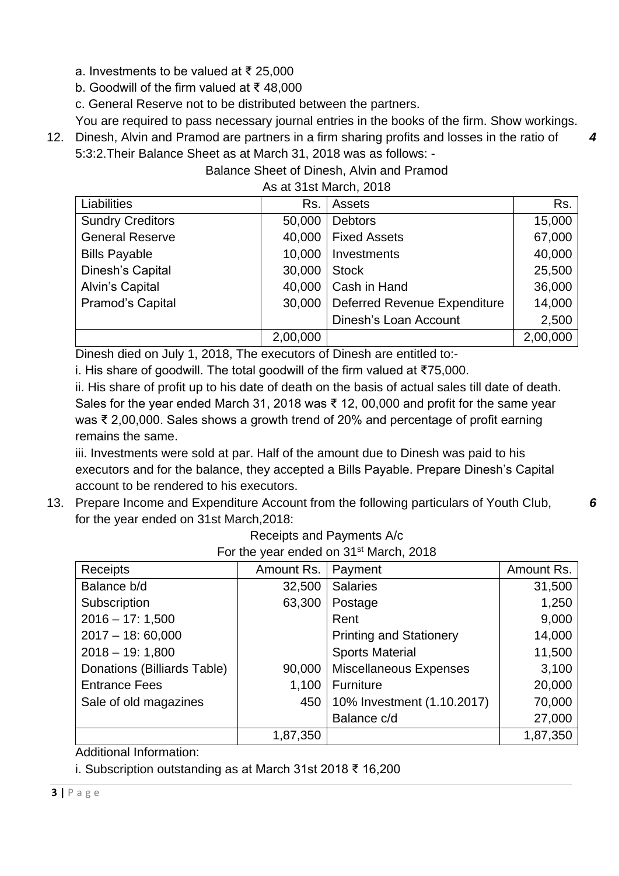a. Investments to be valued at ₹ 25,000

b. Goodwill of the firm valued at ₹ 48,000

c. General Reserve not to be distributed between the partners.

You are required to pass necessary journal entries in the books of the firm. Show workings.

*4*

*6*

12. Dinesh, Alvin and Pramod are partners in a firm sharing profits and losses in the ratio of 5:3:2.Their Balance Sheet as at March 31, 2018 was as follows: -

Balance Sheet of Dinesh, Alvin and Pramod

As at 31st March, 2018

| Liabilities             | Rs.      | Assets                       | Rs.      |
|-------------------------|----------|------------------------------|----------|
| <b>Sundry Creditors</b> | 50,000   | <b>Debtors</b>               | 15,000   |
| <b>General Reserve</b>  | 40,000   | <b>Fixed Assets</b>          | 67,000   |
| <b>Bills Payable</b>    | 10,000   | Investments                  | 40,000   |
| Dinesh's Capital        | 30,000   | <b>Stock</b>                 | 25,500   |
| <b>Alvin's Capital</b>  | 40,000   | Cash in Hand                 | 36,000   |
| Pramod's Capital        | 30,000   | Deferred Revenue Expenditure | 14,000   |
|                         |          | <b>Dinesh's Loan Account</b> | 2,500    |
|                         | 2,00,000 |                              | 2,00,000 |

Dinesh died on July 1, 2018, The executors of Dinesh are entitled to:-

i. His share of goodwill. The total goodwill of the firm valued at ₹75,000.

ii. His share of profit up to his date of death on the basis of actual sales till date of death. Sales for the year ended March 31, 2018 was ₹ 12, 00,000 and profit for the same year was ₹ 2,00,000. Sales shows a growth trend of 20% and percentage of profit earning remains the same.

iii. Investments were sold at par. Half of the amount due to Dinesh was paid to his executors and for the balance, they accepted a Bills Payable. Prepare Dinesh's Capital account to be rendered to his executors.

13. Prepare Income and Expenditure Account from the following particulars of Youth Club, for the year ended on 31st March,2018:

| For the year ended on 31 <sup>st</sup> March, 2018 |            |                                |            |  |
|----------------------------------------------------|------------|--------------------------------|------------|--|
| Receipts                                           | Amount Rs. | Payment                        | Amount Rs. |  |
| Balance b/d                                        | 32,500     | <b>Salaries</b>                | 31,500     |  |
| Subscription                                       | 63,300     | Postage                        | 1,250      |  |
| $2016 - 17:1,500$                                  |            | Rent                           | 9,000      |  |
| $2017 - 18:60,000$                                 |            | <b>Printing and Stationery</b> | 14,000     |  |
| $2018 - 19:1,800$                                  |            | <b>Sports Material</b>         | 11,500     |  |
| Donations (Billiards Table)                        | 90,000     | <b>Miscellaneous Expenses</b>  | 3,100      |  |
| <b>Entrance Fees</b>                               | 1,100      | Furniture                      | 20,000     |  |
| Sale of old magazines                              | 450        | 10% Investment (1.10.2017)     | 70,000     |  |
|                                                    |            | Balance c/d                    | 27,000     |  |
|                                                    | 1,87,350   |                                | 1,87,350   |  |

Receipts and Payments A/c For the year ended on 31<sup>st</sup> March, 2018

Additional Information:

i. Subscription outstanding as at March 31st 2018 ₹ 16,200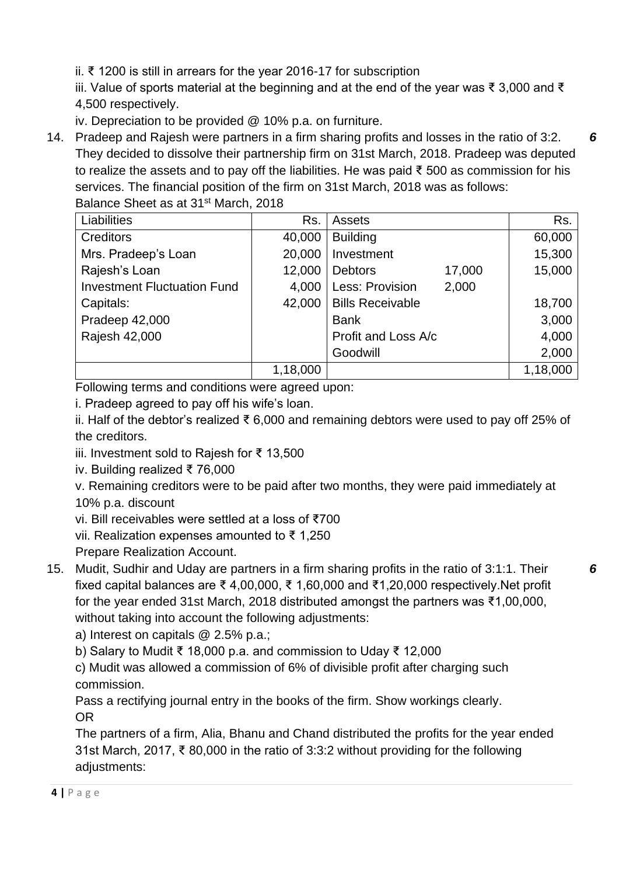ii. ₹ 1200 is still in arrears for the year 2016-17 for subscription

iii. Value of sports material at the beginning and at the end of the year was ₹ 3,000 and ₹ 4,500 respectively.

iv. Depreciation to be provided @ 10% p.a. on furniture.

14. Pradeep and Rajesh were partners in a firm sharing profits and losses in the ratio of 3:2. They decided to dissolve their partnership firm on 31st March, 2018. Pradeep was deputed to realize the assets and to pay off the liabilities. He was paid ₹ 500 as commission for his services. The financial position of the firm on 31st March, 2018 was as follows: Balance Sheet as at 31st March, 2018

| Liabilities                        | Rs.      | <b>Assets</b>            | Rs.      |
|------------------------------------|----------|--------------------------|----------|
| <b>Creditors</b>                   | 40,000   | <b>Building</b>          | 60,000   |
| Mrs. Pradeep's Loan                | 20,000   | Investment               | 15,300   |
| Rajesh's Loan                      | 12,000   | <b>Debtors</b><br>17,000 | 15,000   |
| <b>Investment Fluctuation Fund</b> | 4,000    | Less: Provision<br>2,000 |          |
| Capitals:                          | 42,000   | <b>Bills Receivable</b>  | 18,700   |
| Pradeep 42,000                     |          | <b>Bank</b>              | 3,000    |
| Rajesh 42,000                      |          | Profit and Loss A/c      | 4,000    |
|                                    |          | Goodwill                 | 2,000    |
|                                    | 1,18,000 |                          | 1,18,000 |

Following terms and conditions were agreed upon:

i. Pradeep agreed to pay off his wife's loan.

ii. Half of the debtor's realized ₹ 6,000 and remaining debtors were used to pay off 25% of the creditors.

iii. Investment sold to Rajesh for ₹ 13,500

iv. Building realized ₹ 76,000

v. Remaining creditors were to be paid after two months, they were paid immediately at 10% p.a. discount

vi. Bill receivables were settled at a loss of ₹700

vii. Realization expenses amounted to ₹ 1,250

- Prepare Realization Account.
- 15. Mudit, Sudhir and Uday are partners in a firm sharing profits in the ratio of 3:1:1. Their fixed capital balances are ₹ 4,00,000, ₹ 1,60,000 and ₹1,20,000 respectively.Net profit for the year ended 31st March, 2018 distributed amongst the partners was ₹1,00,000, without taking into account the following adjustments:

a) Interest on capitals @ 2.5% p.a.;

b) Salary to Mudit ₹ 18,000 p.a. and commission to Uday ₹ 12,000

c) Mudit was allowed a commission of 6% of divisible profit after charging such commission.

Pass a rectifying journal entry in the books of the firm. Show workings clearly. OR

The partners of a firm, Alia, Bhanu and Chand distributed the profits for the year ended 31st March, 2017, ₹ 80,000 in the ratio of 3:3:2 without providing for the following adjustments:

*6*

*6*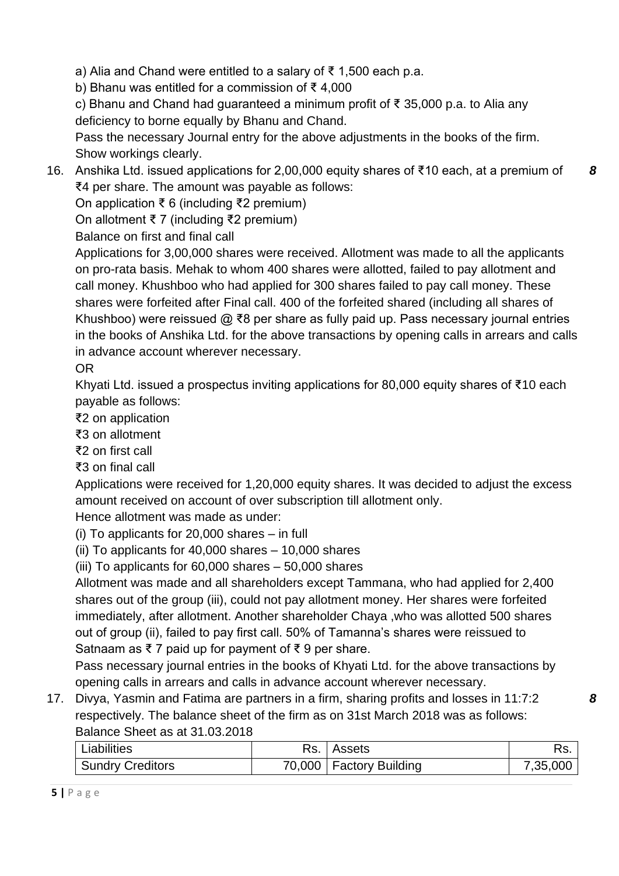a) Alia and Chand were entitled to a salary of ₹ 1,500 each p.a.

b) Bhanu was entitled for a commission of ₹ 4,000

c) Bhanu and Chand had guaranteed a minimum profit of ₹ 35,000 p.a. to Alia any deficiency to borne equally by Bhanu and Chand.

Pass the necessary Journal entry for the above adjustments in the books of the firm. Show workings clearly.

16. Anshika Ltd. issued applications for 2,00,000 equity shares of ₹10 each, at a premium of ₹4 per share. The amount was payable as follows: *8*

On application ₹ 6 (including ₹2 premium)

On allotment ₹ 7 (including ₹2 premium)

Balance on first and final call

Applications for 3,00,000 shares were received. Allotment was made to all the applicants on pro-rata basis. Mehak to whom 400 shares were allotted, failed to pay allotment and call money. Khushboo who had applied for 300 shares failed to pay call money. These shares were forfeited after Final call. 400 of the forfeited shared (including all shares of Khushboo) were reissued @ ₹8 per share as fully paid up. Pass necessary journal entries in the books of Anshika Ltd. for the above transactions by opening calls in arrears and calls in advance account wherever necessary.

OR

Khyati Ltd. issued a prospectus inviting applications for 80,000 equity shares of ₹10 each payable as follows:

₹2 on application

- ₹3 on allotment
- ₹2 on first call
- ₹3 on final call

Applications were received for 1,20,000 equity shares. It was decided to adjust the excess amount received on account of over subscription till allotment only.

Hence allotment was made as under:

(i) To applicants for 20,000 shares – in full

(ii) To applicants for 40,000 shares – 10,000 shares

(iii) To applicants for 60,000 shares – 50,000 shares

Allotment was made and all shareholders except Tammana, who had applied for 2,400 shares out of the group (iii), could not pay allotment money. Her shares were forfeited immediately, after allotment. Another shareholder Chaya ,who was allotted 500 shares out of group (ii), failed to pay first call. 50% of Tamanna's shares were reissued to Satnaam as  $\bar{\xi}$  7 paid up for payment of  $\bar{\xi}$  9 per share.

Pass necessary journal entries in the books of Khyati Ltd. for the above transactions by opening calls in arrears and calls in advance account wherever necessary.

17. Divya, Yasmin and Fatima are partners in a firm, sharing profits and losses in 11:7:2 respectively. The balance sheet of the firm as on 31st March 2018 was as follows: Balance Sheet as at 31.03.2018

| Liabilities             | Rs. | Assets                    |          |
|-------------------------|-----|---------------------------|----------|
| <b>Sundry Creditors</b> |     | 70,000   Factory Building | 7,35,000 |

*8*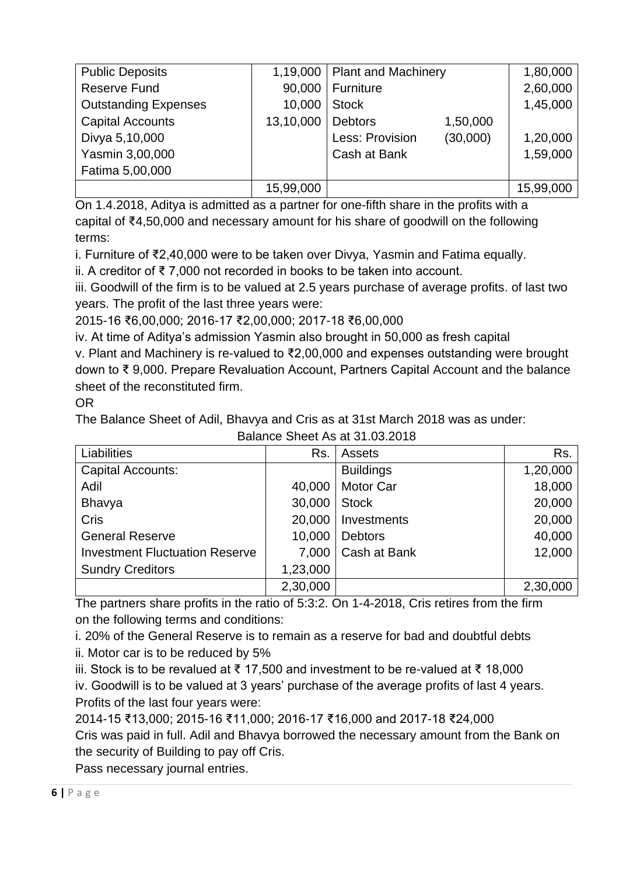| <b>Public Deposits</b>      | 1,19,000  | <b>Plant and Machinery</b> |          | 1,80,000  |
|-----------------------------|-----------|----------------------------|----------|-----------|
| <b>Reserve Fund</b>         | 90,000    | Furniture                  |          | 2,60,000  |
| <b>Outstanding Expenses</b> | 10,000    | <b>Stock</b>               |          | 1,45,000  |
| <b>Capital Accounts</b>     | 13,10,000 | <b>Debtors</b>             | 1,50,000 |           |
| Divya 5,10,000              |           | Less: Provision            | (30,000) | 1,20,000  |
| Yasmin 3,00,000             |           | Cash at Bank               |          | 1,59,000  |
| Fatima 5,00,000             |           |                            |          |           |
|                             | 15,99,000 |                            |          | 15,99,000 |

On 1.4.2018, Aditya is admitted as a partner for one-fifth share in the profits with a capital of ₹4,50,000 and necessary amount for his share of goodwill on the following terms:

i. Furniture of ₹2,40,000 were to be taken over Divya, Yasmin and Fatima equally.

ii. A creditor of ₹ 7,000 not recorded in books to be taken into account.

iii. Goodwill of the firm is to be valued at 2.5 years purchase of average profits. of last two years. The profit of the last three years were:

2015-16 ₹6,00,000; 2016-17 ₹2,00,000; 2017-18 ₹6,00,000

iv. At time of Aditya's admission Yasmin also brought in 50,000 as fresh capital

v. Plant and Machinery is re-valued to ₹2,00,000 and expenses outstanding were brought down to ₹ 9,000. Prepare Revaluation Account, Partners Capital Account and the balance sheet of the reconstituted firm.

### OR

The Balance Sheet of Adil, Bhavya and Cris as at 31st March 2018 was as under:

| Liabilities                           | Rs.      | Assets           | Rs.      |
|---------------------------------------|----------|------------------|----------|
| <b>Capital Accounts:</b>              |          | <b>Buildings</b> | 1,20,000 |
| Adil                                  | 40,000   | Motor Car        | 18,000   |
| Bhavya                                | 30,000   | <b>Stock</b>     | 20,000   |
| Cris                                  | 20,000   | Investments      | 20,000   |
| <b>General Reserve</b>                | 10,000   | <b>Debtors</b>   | 40,000   |
| <b>Investment Fluctuation Reserve</b> | 7,000    | Cash at Bank     | 12,000   |
| <b>Sundry Creditors</b>               | 1,23,000 |                  |          |
|                                       | 2,30,000 |                  | 2,30,000 |

Balance Sheet As at 31.03.2018

The partners share profits in the ratio of 5:3:2. On 1-4-2018, Cris retires from the firm on the following terms and conditions:

i. 20% of the General Reserve is to remain as a reserve for bad and doubtful debts ii. Motor car is to be reduced by 5%

iii. Stock is to be revalued at ₹ 17,500 and investment to be re-valued at ₹ 18,000

iv. Goodwill is to be valued at 3 years' purchase of the average profits of last 4 years. Profits of the last four years were:

2014-15 ₹13,000; 2015-16 ₹11,000; 2016-17 ₹16,000 and 2017-18 ₹24,000

Cris was paid in full. Adil and Bhavya borrowed the necessary amount from the Bank on the security of Building to pay off Cris.

Pass necessary journal entries.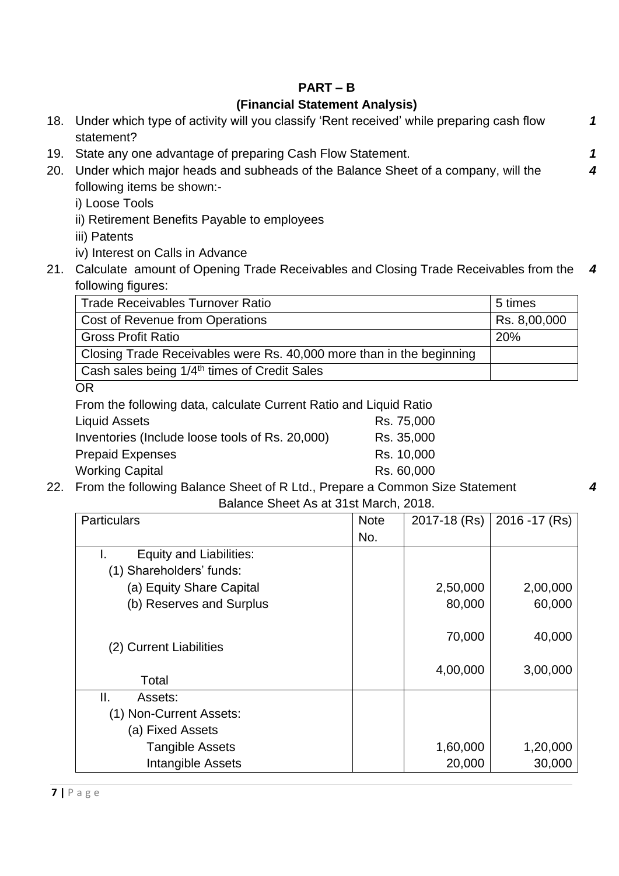## **PART – B**

## **(Financial Statement Analysis)**

|     | 18. Under which type of activity will you classify 'Rent received' while preparing cash flow<br>statement? |   |
|-----|------------------------------------------------------------------------------------------------------------|---|
| 19. | State any one advantage of preparing Cash Flow Statement.                                                  |   |
| 20. | Under which major heads and subheads of the Balance Sheet of a company, will the                           |   |
|     | following items be shown:-                                                                                 |   |
|     | i) Loose Tools                                                                                             |   |
|     | ii) Retirement Benefits Payable to employees                                                               |   |
|     | iii) Patents                                                                                               |   |
|     | iv) Interest on Calls in Advance                                                                           |   |
| 21. | Calculate amount of Opening Trade Receivables and Closing Trade Receivables from the                       | 4 |
|     | following figures:                                                                                         |   |
|     | Trade Receivables Turnover Ratio<br>5 times                                                                |   |

| 5 times      |
|--------------|
| Rs. 8,00,000 |
| 20%          |
|              |
|              |
|              |

OR

| From the following data, calculate Current Ratio and Liquid Ratio |            |
|-------------------------------------------------------------------|------------|
| <b>Liquid Assets</b>                                              | Rs. 75,000 |
| Inventories (Include loose tools of Rs. 20,000)                   | Rs. 35,000 |
| <b>Prepaid Expenses</b>                                           | Rs. 10,000 |
| <b>Working Capital</b>                                            | Rs. 60,000 |
| From the following Polance Cheet of D Ltd. Drepare a Common C     |            |

22. From the following Balance Sheet of R Ltd., Prepare a Common Size Statement

Balance Sheet As at 31st March, 2018.

*4*

| <b>Particulars</b>             | <b>Note</b> | 2017-18 (Rs) | 2016 - 17 (Rs) |
|--------------------------------|-------------|--------------|----------------|
|                                | No.         |              |                |
| <b>Equity and Liabilities:</b> |             |              |                |
| (1) Shareholders' funds:       |             |              |                |
| (a) Equity Share Capital       |             | 2,50,000     | 2,00,000       |
| (b) Reserves and Surplus       |             | 80,000       | 60,000         |
| (2) Current Liabilities        |             | 70,000       | 40,000         |
| Total                          |             | 4,00,000     | 3,00,000       |
| Ⅱ.<br>Assets:                  |             |              |                |
| (1) Non-Current Assets:        |             |              |                |
| (a) Fixed Assets               |             |              |                |
| <b>Tangible Assets</b>         |             | 1,60,000     | 1,20,000       |
| Intangible Assets              |             | 20,000       | 30,000         |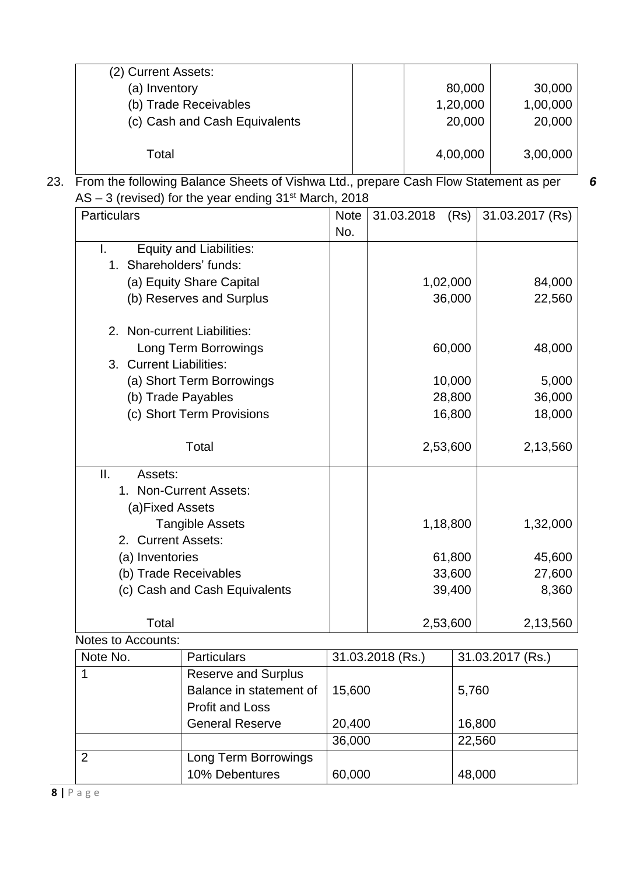| (2) Current Assets:           |          |          |
|-------------------------------|----------|----------|
| (a) Inventory                 | 80,000   | 30,000   |
| (b) Trade Receivables         | 1,20,000 | 1,00,000 |
| (c) Cash and Cash Equivalents | 20,000   | 20,000   |
|                               |          |          |
| Total                         | 4,00,000 | 3,00,000 |
|                               |          |          |

*6*

23. From the following Balance Sheets of Vishwa Ltd., prepare Cash Flow Statement as per AS – 3 (revised) for the year ending 31<sup>st</sup> March, 2018

| <b>Particulars</b>          |                                | <b>Note</b> | 31.03.2018       | (Rs)   | 31.03.2017 (Rs)  |
|-----------------------------|--------------------------------|-------------|------------------|--------|------------------|
|                             |                                | No.         |                  |        |                  |
| I.                          | <b>Equity and Liabilities:</b> |             |                  |        |                  |
| 1. Shareholders' funds:     |                                |             |                  |        |                  |
|                             | (a) Equity Share Capital       |             | 1,02,000         |        | 84,000           |
|                             | (b) Reserves and Surplus       |             | 36,000           |        | 22,560           |
| 2. Non-current Liabilities: |                                |             |                  |        |                  |
|                             | Long Term Borrowings           |             | 60,000           |        | 48,000           |
| 3. Current Liabilities:     |                                |             |                  |        |                  |
|                             | (a) Short Term Borrowings      |             |                  | 10,000 | 5,000            |
| (b) Trade Payables          |                                |             |                  | 28,800 | 36,000           |
|                             | (c) Short Term Provisions      |             |                  | 16,800 | 18,000           |
|                             | Total                          |             | 2,53,600         |        | 2,13,560         |
| II.<br>Assets:              |                                |             |                  |        |                  |
|                             | 1. Non-Current Assets:         |             |                  |        |                  |
| (a)Fixed Assets             |                                |             |                  |        |                  |
|                             | <b>Tangible Assets</b>         |             | 1,18,800         |        | 1,32,000         |
| 2. Current Assets:          |                                |             |                  |        |                  |
| (a) Inventories             |                                |             | 61,800           |        | 45,600           |
| (b) Trade Receivables       |                                |             | 33,600           |        | 27,600           |
|                             | (c) Cash and Cash Equivalents  | 39,400      |                  | 8,360  |                  |
| Total                       |                                |             | 2,53,600         |        | 2,13,560         |
| Notes to Accounts:          |                                |             |                  |        |                  |
| Note No.                    | <b>Particulars</b>             |             | 31.03.2018 (Rs.) |        | 31.03.2017 (Rs.) |
| 1                           | Reserve and Surnlus            |             |                  |        |                  |

| Note No. | <b>Particulars</b>         | 31.03.2018 (Rs.) | 31.03.2017 (Rs.) |
|----------|----------------------------|------------------|------------------|
|          | <b>Reserve and Surplus</b> |                  |                  |
|          | Balance in statement of    | 15,600           | 5,760            |
|          | <b>Profit and Loss</b>     |                  |                  |
|          | <b>General Reserve</b>     | 20,400           | 16,800           |
|          |                            | 36,000           | 22,560           |
| 2        | Long Term Borrowings       |                  |                  |
|          | 10% Debentures             | 60,000           | 48,000           |